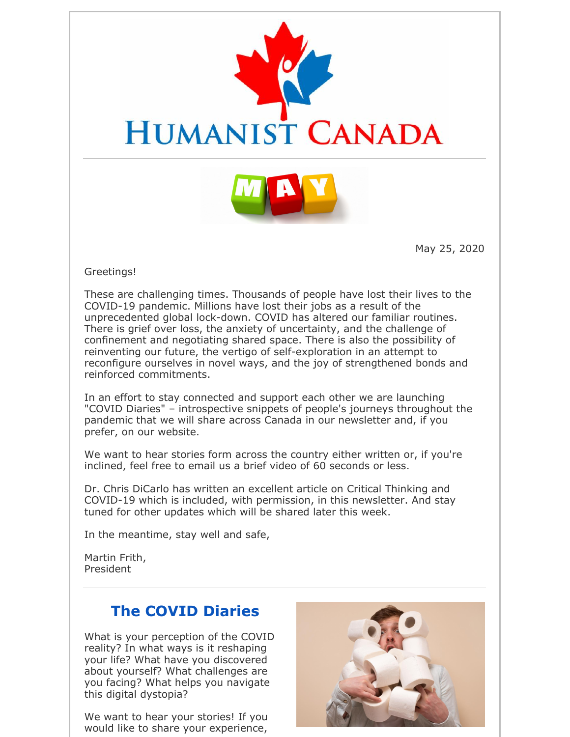



May 25, 2020

#### Greetings!

These are challenging times. Thousands of people have lost their lives to the COVID-19 pandemic. Millions have lost their jobs as a result of the unprecedented global lock-down. COVID has altered our familiar routines. There is grief over loss, the anxiety of uncertainty, and the challenge of confinement and negotiating shared space. There is also the possibility of reinventing our future, the vertigo of self-exploration in an attempt to reconfigure ourselves in novel ways, and the joy of strengthened bonds and reinforced commitments.

In an effort to stay connected and support each other we are launching "COVID Diaries" – introspective snippets of people's journeys throughout the pandemic that we will share across Canada in our newsletter and, if you prefer, on our website.

We want to hear stories form across the country either written or, if you're inclined, feel free to email us a brief video of 60 seconds or less.

Dr. Chris DiCarlo has written an excellent article on Critical Thinking and COVID-19 which is included, with permission, in this newsletter. And stay tuned for other updates which will be shared later this week.

In the meantime, stay well and safe,

Martin Frith, President

## **The COVID Diaries**

What is your perception of the COVID reality? In what ways is it reshaping your life? What have you discovered about yourself? What challenges are you facing? What helps you navigate this digital dystopia?

We want to hear your stories! If you would like to share your experience,

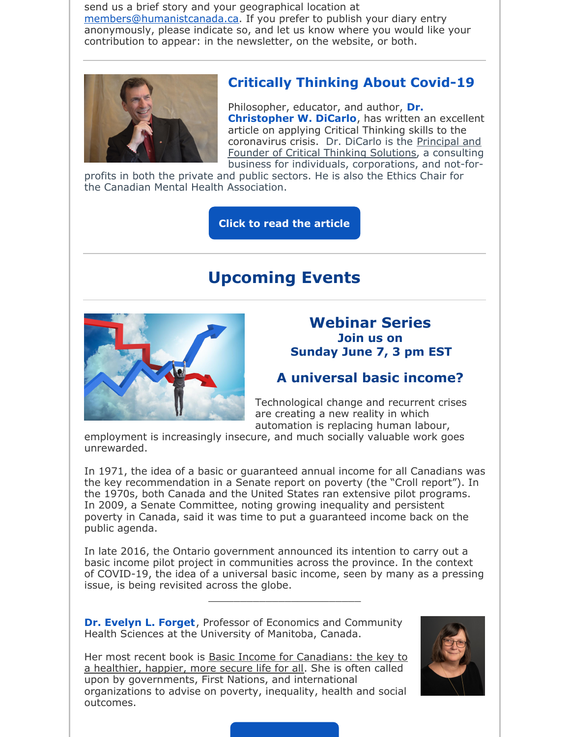send us a brief story and your geographical location at members@humanistcanada.ca. If you prefer to publish your diary entry anonymously, please indicate so, and let us know where you would like your contribution to appear: in the newsletter, on the website, or both.



### **Critically Thinking About Covid-19**

Philosopher, educator, and author, **Dr. Christopher W. DiCarlo**, has written an excellent article on applying Critical Thinking skills to the coronavirus crisis. Dr. DiCarlo is the Principal and Founder of Critical Thinking Solutions, a consulting business for individuals, corporations, and not-for-

profits in both the private and public sectors. He is also the Ethics Chair for the Canadian Mental Health Association.

**Click to read the article**

## **Upcoming Events**



#### **Webinar Series Join us on Sunday June 7, 3 pm EST**

#### **A universal basic income?**

Technological change and recurrent crises are creating a new reality in which automation is replacing human labour,

employment is increasingly insecure, and much socially valuable work goes unrewarded.

In 1971, the idea of a basic or guaranteed annual income for all Canadians was the key recommendation in a Senate report on poverty (the "Croll report"). In the 1970s, both Canada and the United States ran extensive pilot programs. In 2009, a Senate Committee, noting growing inequality and persistent poverty in Canada, said it was time to put a guaranteed income back on the public agenda.

In late 2016, the Ontario government announced its intention to carry out a basic income pilot project in communities across the province. In the context of COVID-19, the idea of a universal basic income, seen by many as a pressing issue, is being revisited across the globe.

\_\_\_\_\_\_\_\_\_\_\_\_\_\_\_\_\_\_\_\_\_\_\_\_

**Dr. Evelyn L. Forget**, Professor of Economics and Community Health Sciences at the University of Manitoba, Canada.



Her most recent book is Basic Income for Canadians: the key to a healthier, happier, more secure life for all. She is often called upon by governments, First Nations, and international organizations to advise on poverty, inequality, health and social outcomes.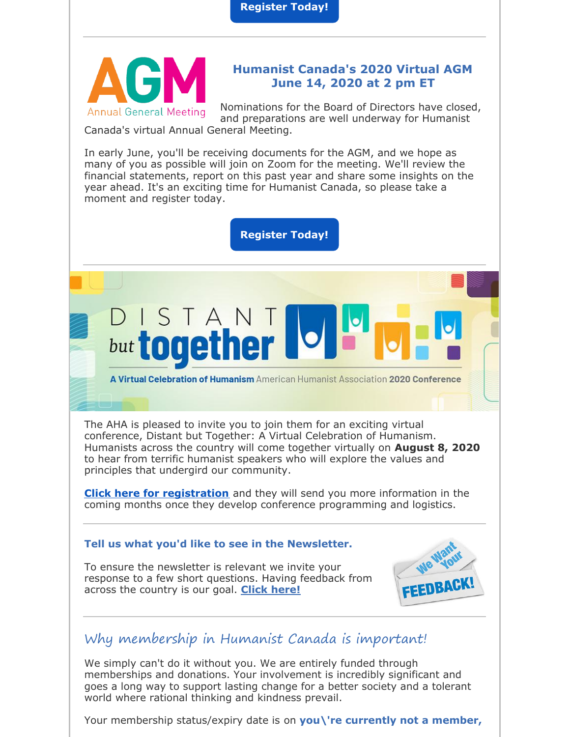**Register Today!**



#### **Humanist Canada's 2020 Virtual AGM June 14, 2020 at 2 pm ET**

Nominations for the Board of Directors have closed, and preparations are well underway for Humanist

Canada's virtual Annual General Meeting.

ISTAN

but togethe

In early June, you'll be receiving documents for the AGM, and we hope as many of you as possible will join on Zoom for the meeting. We'll review the financial statements, report on this past year and share some insights on the year ahead. It's an exciting time for Humanist Canada, so please take a moment and register today.

**Register Today!**

# A Virtual Celebration of Humanism American Humanist Association 2020 Conference

The AHA is pleased to invite you to join them for an exciting virtual conference, Distant but Together: A Virtual Celebration of Humanism. Humanists across the country will come together virtually on **August 8, 2020** to hear from terrific humanist speakers who will explore the values and principles that undergird our community.

**Click here for registration** and they will send you more information in the coming months once they develop conference programming and logistics.

#### **Tell us what you'd like to see in the Newsletter.**

To ensure the newsletter is relevant we invite your response to a few short questions. Having feedback from across the country is our goal. **Click here!**



## Why membership in Humanist Canada is important!

We simply can't do it without you. We are entirely funded through memberships and donations. Your involvement is incredibly significant and goes a long way to support lasting change for a better society and a tolerant world where rational thinking and kindness prevail.

Your membership status/expiry date is on **you\'re currently not a member,**